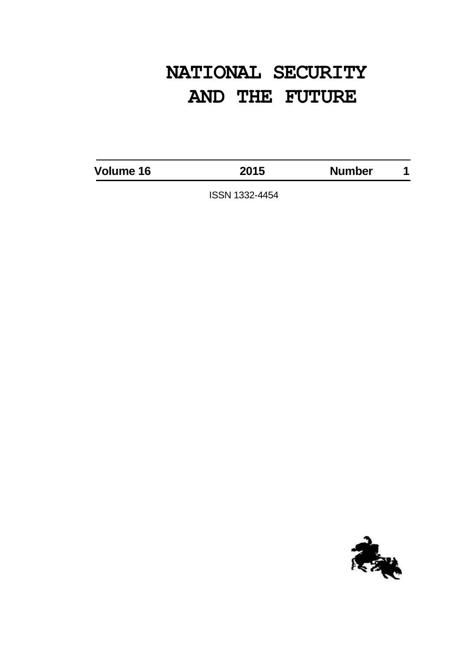# **NATIONAL SECURITY AND THE FUTURE**

**Volume 16 2015 Number 1**

ISSN 1332-4454